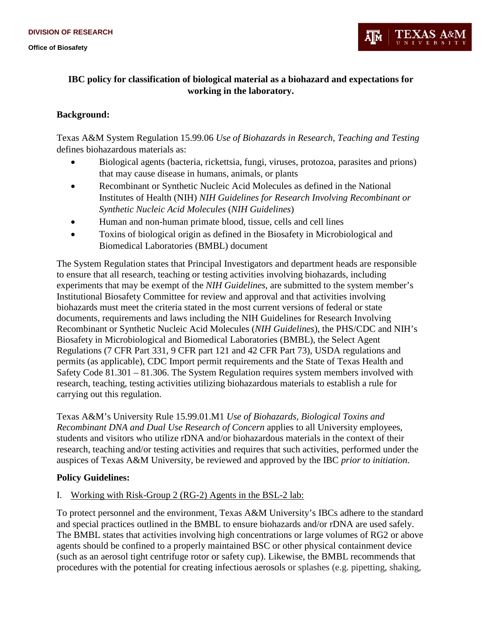

# **IBC policy for classification of biological material as a biohazard and expectations for working in the laboratory.**

### **Background:**

Texas A&M System Regulation 15.99.06 *Use of Biohazards in Research, Teaching and Testing* defines biohazardous materials as:

- Biological agents (bacteria, rickettsia, fungi, viruses, protozoa, parasites and prions) that may cause disease in humans, animals, or plants
- Recombinant or Synthetic Nucleic Acid Molecules as defined in the National Institutes of Health (NIH) *NIH Guidelines for Research Involving Recombinant or Synthetic Nucleic Acid Molecules* (*NIH Guidelines*)
- Human and non-human primate blood, tissue, cells and cell lines
- Toxins of biological origin as defined in the Biosafety in Microbiological and Biomedical Laboratories (BMBL) document

The System Regulation states that Principal Investigators and department heads are responsible to ensure that all research, teaching or testing activities involving biohazards, including experiments that may be exempt of the *NIH Guidelines*, are submitted to the system member's Institutional Biosafety Committee for review and approval and that activities involving biohazards must meet the criteria stated in the most current versions of federal or state documents, requirements and laws including the NIH Guidelines for Research Involving Recombinant or Synthetic Nucleic Acid Molecules (*NIH Guidelines*), the PHS/CDC and NIH's Biosafety in Microbiological and Biomedical Laboratories (BMBL), the Select Agent Regulations (7 CFR Part 331, 9 CFR part 121 and 42 CFR Part 73), USDA regulations and permits (as applicable), CDC Import permit requirements and the State of Texas Health and Safety Code 81.301 – 81.306. The System Regulation requires system members involved with research, teaching, testing activities utilizing biohazardous materials to establish a rule for carrying out this regulation.

Texas A&M's University Rule 15.99.01.M1 *Use of Biohazards, Biological Toxins and Recombinant DNA and Dual Use Research of Concern* applies to all University employees, students and visitors who utilize rDNA and/or biohazardous materials in the context of their research, teaching and/or testing activities and requires that such activities, performed under the auspices of Texas A&M University, be reviewed and approved by the IBC *prior to initiation*.

## **Policy Guidelines:**

I. Working with Risk-Group 2 (RG-2) Agents in the BSL-2 lab:

To protect personnel and the environment, Texas A&M University's IBCs adhere to the standard and special practices outlined in the BMBL to ensure biohazards and/or rDNA are used safely. The BMBL states that activities involving high concentrations or large volumes of RG2 or above agents should be confined to a properly maintained BSC or other physical containment device (such as an aerosol tight centrifuge rotor or safety cup). Likewise, the BMBL recommends that procedures with the potential for creating infectious aerosols or splashes (e.g. pipetting, shaking,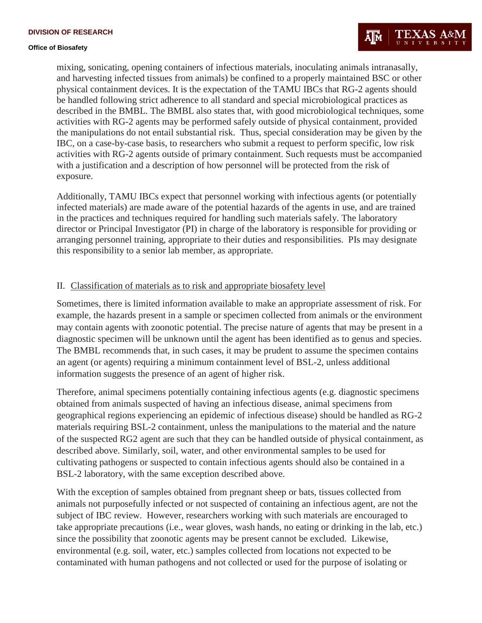mixing, sonicating, opening containers of infectious materials, inoculating animals intranasally, and harvesting infected tissues from animals) be confined to a properly maintained BSC or other physical containment devices. It is the expectation of the TAMU IBCs that RG-2 agents should be handled following strict adherence to all standard and special microbiological practices as described in the BMBL. The BMBL also states that, with good microbiological techniques, some activities with RG-2 agents may be performed safely outside of physical containment, provided the manipulations do not entail substantial risk. Thus, special consideration may be given by the IBC, on a case-by-case basis, to researchers who submit a request to perform specific, low risk activities with RG-2 agents outside of primary containment. Such requests must be accompanied with a justification and a description of how personnel will be protected from the risk of exposure.

Additionally, TAMU IBCs expect that personnel working with infectious agents (or potentially infected materials) are made aware of the potential hazards of the agents in use, and are trained in the practices and techniques required for handling such materials safely. The laboratory director or Principal Investigator (PI) in charge of the laboratory is responsible for providing or arranging personnel training, appropriate to their duties and responsibilities. PIs may designate this responsibility to a senior lab member, as appropriate.

#### II. Classification of materials as to risk and appropriate biosafety level

Sometimes, there is limited information available to make an appropriate assessment of risk. For example, the hazards present in a sample or specimen collected from animals or the environment may contain agents with zoonotic potential. The precise nature of agents that may be present in a diagnostic specimen will be unknown until the agent has been identified as to genus and species. The BMBL recommends that, in such cases, it may be prudent to assume the specimen contains an agent (or agents) requiring a minimum containment level of BSL-2, unless additional information suggests the presence of an agent of higher risk.

Therefore, animal specimens potentially containing infectious agents (e.g. diagnostic specimens obtained from animals suspected of having an infectious disease, animal specimens from geographical regions experiencing an epidemic of infectious disease) should be handled as RG-2 materials requiring BSL-2 containment, unless the manipulations to the material and the nature of the suspected RG2 agent are such that they can be handled outside of physical containment, as described above. Similarly, soil, water, and other environmental samples to be used for cultivating pathogens or suspected to contain infectious agents should also be contained in a BSL-2 laboratory, with the same exception described above.

With the exception of samples obtained from pregnant sheep or bats, tissues collected from animals not purposefully infected or not suspected of containing an infectious agent, are not the subject of IBC review. However, researchers working with such materials are encouraged to take appropriate precautions (i.e., wear gloves, wash hands, no eating or drinking in the lab, etc.) since the possibility that zoonotic agents may be present cannot be excluded. Likewise, environmental (e.g. soil, water, etc.) samples collected from locations not expected to be contaminated with human pathogens and not collected or used for the purpose of isolating or